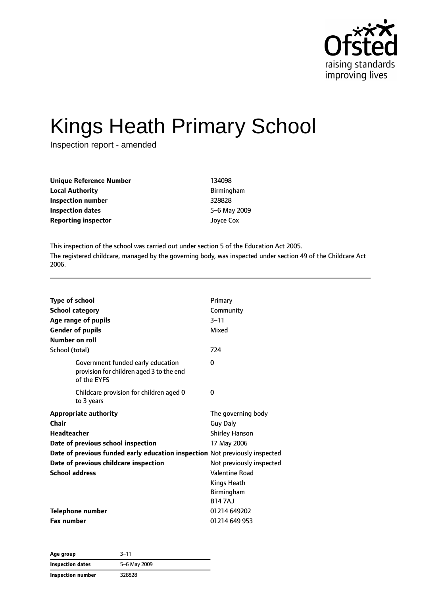

# Kings Heath Primary School

Inspection report - amended

| <b>Unique Reference Number</b> | 134098            |
|--------------------------------|-------------------|
| <b>Local Authority</b>         | <b>Birmingham</b> |
| <b>Inspection number</b>       | 328828            |
| <b>Inspection dates</b>        | 5-6 May 2009      |
| <b>Reporting inspector</b>     | Joyce Cox         |

This inspection of the school was carried out under section 5 of the Education Act 2005. The registered childcare, managed by the governing body, was inspected under section 49 of the Childcare Act 2006.

| Type of school<br><b>School category</b><br>Age range of pupils<br><b>Gender of pupils</b><br>Number on roll<br>School (total)                                      |                                                                               | Primary<br>Community<br>$3 - 11$<br>Mixed<br>724                                                                                                                                        |
|---------------------------------------------------------------------------------------------------------------------------------------------------------------------|-------------------------------------------------------------------------------|-----------------------------------------------------------------------------------------------------------------------------------------------------------------------------------------|
| of the EYFS                                                                                                                                                         | Government funded early education<br>provision for children aged 3 to the end | 0                                                                                                                                                                                       |
| to 3 years                                                                                                                                                          | Childcare provision for children aged 0                                       | 0                                                                                                                                                                                       |
| <b>Appropriate authority</b><br>Chair<br><b>Headteacher</b><br>Date of previous school inspection<br>Date of previous childcare inspection<br><b>School address</b> | Date of previous funded early education inspection Not previously inspected   | The governing body<br><b>Guy Daly</b><br><b>Shirley Hanson</b><br>17 May 2006<br>Not previously inspected<br><b>Valentine Road</b><br><b>Kings Heath</b><br>Birmingham<br><b>B147AJ</b> |
| <b>Telephone number</b><br><b>Fax number</b>                                                                                                                        |                                                                               | 01214 649202<br>01214 649 953                                                                                                                                                           |

| Age group         | $3 - 11$     |
|-------------------|--------------|
| Inspection dates  | 5-6 May 2009 |
| Inspection number | 328828       |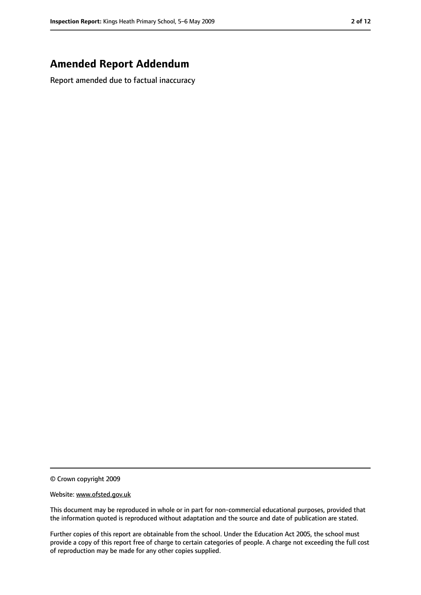# **Amended Report Addendum**

Report amended due to factual inaccuracy

© Crown copyright 2009

#### Website: www.ofsted.gov.uk

This document may be reproduced in whole or in part for non-commercial educational purposes, provided that the information quoted is reproduced without adaptation and the source and date of publication are stated.

Further copies of this report are obtainable from the school. Under the Education Act 2005, the school must provide a copy of this report free of charge to certain categories of people. A charge not exceeding the full cost of reproduction may be made for any other copies supplied.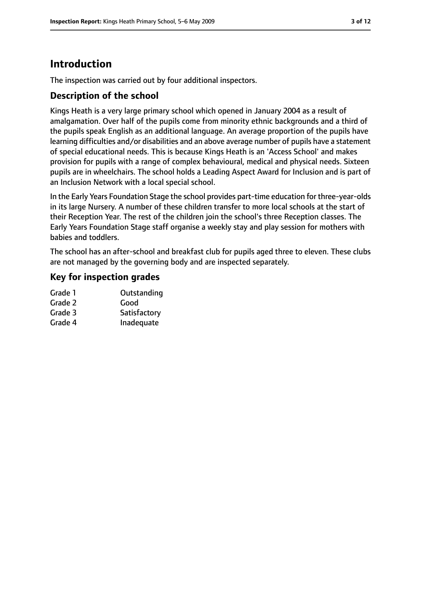# **Introduction**

The inspection was carried out by four additional inspectors.

#### **Description of the school**

Kings Heath is a very large primary school which opened in January 2004 as a result of amalgamation. Over half of the pupils come from minority ethnic backgrounds and a third of the pupils speak English as an additional language. An average proportion of the pupils have learning difficulties and/or disabilities and an above average number of pupils have a statement of special educational needs. This is because Kings Heath is an 'Access School' and makes provision for pupils with a range of complex behavioural, medical and physical needs. Sixteen pupils are in wheelchairs. The school holds a Leading Aspect Award for Inclusion and is part of an Inclusion Network with a local special school.

In the Early Years Foundation Stage the school provides part-time education for three-year-olds in its large Nursery. A number of these children transfer to more local schools at the start of their Reception Year. The rest of the children join the school's three Reception classes. The Early Years Foundation Stage staff organise a weekly stay and play session for mothers with babies and toddlers.

The school has an after-school and breakfast club for pupils aged three to eleven. These clubs are not managed by the governing body and are inspected separately.

#### **Key for inspection grades**

| Grade 1 | Outstanding  |
|---------|--------------|
| Grade 2 | Good         |
| Grade 3 | Satisfactory |
| Grade 4 | Inadequate   |
|         |              |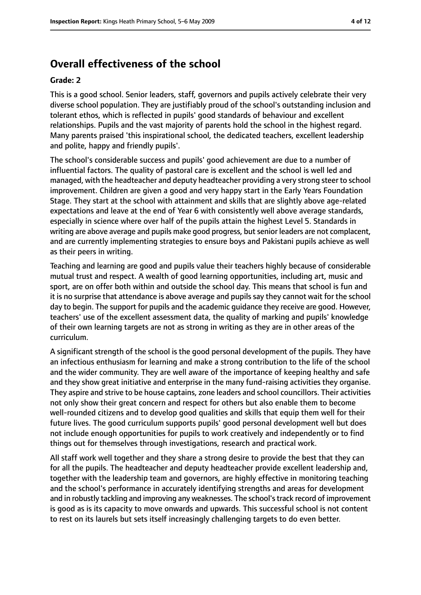# **Overall effectiveness of the school**

#### **Grade: 2**

This is a good school. Senior leaders, staff, governors and pupils actively celebrate their very diverse school population. They are justifiably proud of the school's outstanding inclusion and tolerant ethos, which is reflected in pupils' good standards of behaviour and excellent relationships. Pupils and the vast majority of parents hold the school in the highest regard. Many parents praised 'this inspirational school, the dedicated teachers, excellent leadership and polite, happy and friendly pupils'.

The school's considerable success and pupils' good achievement are due to a number of influential factors. The quality of pastoral care is excellent and the school is well led and managed, with the headteacher and deputy headteacher providing a very strong steer to school improvement. Children are given a good and very happy start in the Early Years Foundation Stage. They start at the school with attainment and skills that are slightly above age-related expectations and leave at the end of Year 6 with consistently well above average standards, especially in science where over half of the pupils attain the highest Level 5. Standards in writing are above average and pupils make good progress, but senior leaders are not complacent, and are currently implementing strategies to ensure boys and Pakistani pupils achieve as well as their peers in writing.

Teaching and learning are good and pupils value their teachers highly because of considerable mutual trust and respect. A wealth of good learning opportunities, including art, music and sport, are on offer both within and outside the school day. This means that school is fun and it is no surprise that attendance is above average and pupils say they cannot wait for the school day to begin. The support for pupils and the academic guidance they receive are good. However, teachers' use of the excellent assessment data, the quality of marking and pupils' knowledge of their own learning targets are not as strong in writing as they are in other areas of the curriculum.

A significant strength of the school is the good personal development of the pupils. They have an infectious enthusiasm for learning and make a strong contribution to the life of the school and the wider community. They are well aware of the importance of keeping healthy and safe and they show great initiative and enterprise in the many fund-raising activities they organise. They aspire and strive to be house captains, zone leaders and school councillors. Their activities not only show their great concern and respect for others but also enable them to become well-rounded citizens and to develop good qualities and skills that equip them well for their future lives. The good curriculum supports pupils' good personal development well but does not include enough opportunities for pupils to work creatively and independently or to find things out for themselves through investigations, research and practical work.

All staff work well together and they share a strong desire to provide the best that they can for all the pupils. The headteacher and deputy headteacher provide excellent leadership and, together with the leadership team and governors, are highly effective in monitoring teaching and the school's performance in accurately identifying strengths and areas for development and in robustly tackling and improving any weaknesses. The school's track record of improvement is good as is its capacity to move onwards and upwards. This successful school is not content to rest on its laurels but sets itself increasingly challenging targets to do even better.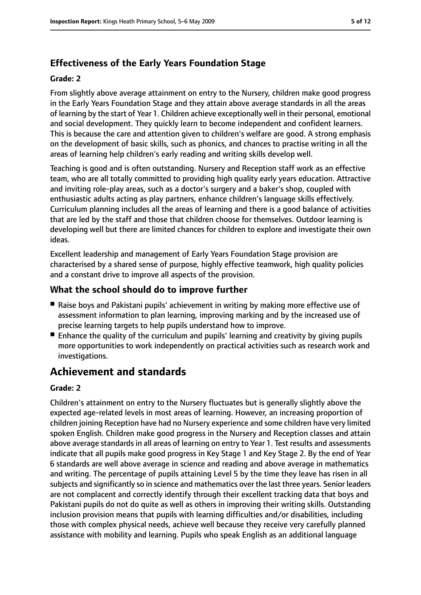### **Effectiveness of the Early Years Foundation Stage**

#### **Grade: 2**

From slightly above average attainment on entry to the Nursery, children make good progress in the Early Years Foundation Stage and they attain above average standards in all the areas of learning by the start of Year 1. Children achieve exceptionally well in their personal, emotional and social development. They quickly learn to become independent and confident learners. This is because the care and attention given to children's welfare are good. A strong emphasis on the development of basic skills, such as phonics, and chances to practise writing in all the areas of learning help children's early reading and writing skills develop well.

Teaching is good and is often outstanding. Nursery and Reception staff work as an effective team, who are all totally committed to providing high quality early years education. Attractive and inviting role-play areas, such as a doctor's surgery and a baker's shop, coupled with enthusiastic adults acting as play partners, enhance children's language skills effectively. Curriculum planning includes all the areas of learning and there is a good balance of activities that are led by the staff and those that children choose for themselves. Outdoor learning is developing well but there are limited chances for children to explore and investigate their own ideas.

Excellent leadership and management of Early Years Foundation Stage provision are characterised by a shared sense of purpose, highly effective teamwork, high quality policies and a constant drive to improve all aspects of the provision.

#### **What the school should do to improve further**

- Raise boys and Pakistani pupils' achievement in writing by making more effective use of assessment information to plan learning, improving marking and by the increased use of precise learning targets to help pupils understand how to improve.
- Enhance the quality of the curriculum and pupils' learning and creativity by giving pupils more opportunities to work independently on practical activities such as research work and investigations.

# **Achievement and standards**

#### **Grade: 2**

Children's attainment on entry to the Nursery fluctuates but is generally slightly above the expected age-related levels in most areas of learning. However, an increasing proportion of children joining Reception have had no Nursery experience and some children have very limited spoken English. Children make good progress in the Nursery and Reception classes and attain above average standards in all areas of learning on entry to Year 1. Test results and assessments indicate that all pupils make good progress in Key Stage 1 and Key Stage 2. By the end of Year 6 standards are well above average in science and reading and above average in mathematics and writing. The percentage of pupils attaining Level 5 by the time they leave has risen in all subjects and significantly so in science and mathematics over the last three years. Senior leaders are not complacent and correctly identify through their excellent tracking data that boys and Pakistani pupils do not do quite as well as others in improving their writing skills. Outstanding inclusion provision means that pupils with learning difficulties and/or disabilities, including those with complex physical needs, achieve well because they receive very carefully planned assistance with mobility and learning. Pupils who speak English as an additional language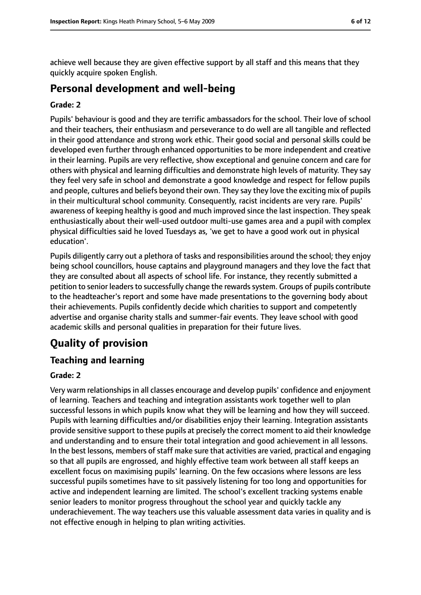achieve well because they are given effective support by all staff and this means that they quickly acquire spoken English.

# **Personal development and well-being**

#### **Grade: 2**

Pupils' behaviour is good and they are terrific ambassadors for the school. Their love of school and their teachers, their enthusiasm and perseverance to do well are all tangible and reflected in their good attendance and strong work ethic. Their good social and personal skills could be developed even further through enhanced opportunities to be more independent and creative in their learning. Pupils are very reflective, show exceptional and genuine concern and care for others with physical and learning difficulties and demonstrate high levels of maturity. They say they feel very safe in school and demonstrate a good knowledge and respect for fellow pupils and people, cultures and beliefs beyond their own. They say they love the exciting mix of pupils in their multicultural school community. Consequently, racist incidents are very rare. Pupils' awareness of keeping healthy is good and much improved since the last inspection. They speak enthusiastically about their well-used outdoor multi-use games area and a pupil with complex physical difficulties said he loved Tuesdays as, 'we get to have a good work out in physical education'.

Pupils diligently carry out a plethora of tasks and responsibilities around the school; they enjoy being school councillors, house captains and playground managers and they love the fact that they are consulted about all aspects of school life. For instance, they recently submitted a petition to senior leaders to successfully change the rewards system. Groups of pupils contribute to the headteacher's report and some have made presentations to the governing body about their achievements. Pupils confidently decide which charities to support and competently advertise and organise charity stalls and summer-fair events. They leave school with good academic skills and personal qualities in preparation for their future lives.

# **Quality of provision**

#### **Teaching and learning**

#### **Grade: 2**

Very warm relationships in all classes encourage and develop pupils' confidence and enjoyment of learning. Teachers and teaching and integration assistants work together well to plan successful lessons in which pupils know what they will be learning and how they will succeed. Pupils with learning difficulties and/or disabilities enjoy their learning. Integration assistants provide sensitive support to these pupils at precisely the correct moment to aid their knowledge and understanding and to ensure their total integration and good achievement in all lessons. In the best lessons, members of staff make sure that activities are varied, practical and engaging so that all pupils are engrossed, and highly effective team work between all staff keeps an excellent focus on maximising pupils' learning. On the few occasions where lessons are less successful pupils sometimes have to sit passively listening for too long and opportunities for active and independent learning are limited. The school's excellent tracking systems enable senior leaders to monitor progress throughout the school year and quickly tackle any underachievement. The way teachers use this valuable assessment data varies in quality and is not effective enough in helping to plan writing activities.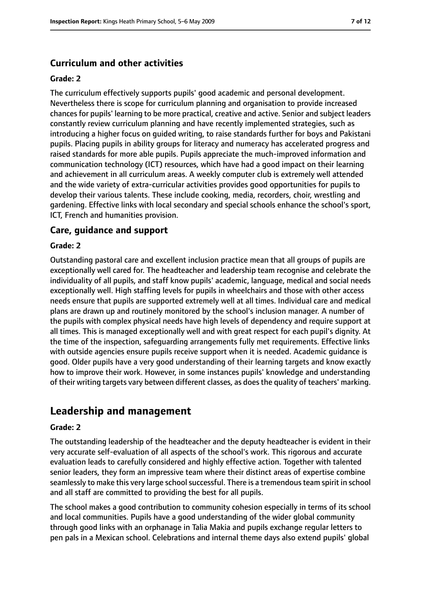#### **Curriculum and other activities**

#### **Grade: 2**

The curriculum effectively supports pupils' good academic and personal development. Nevertheless there is scope for curriculum planning and organisation to provide increased chances for pupils' learning to be more practical, creative and active. Senior and subject leaders constantly review curriculum planning and have recently implemented strategies, such as introducing a higher focus on guided writing, to raise standards further for boys and Pakistani pupils. Placing pupils in ability groups for literacy and numeracy has accelerated progress and raised standards for more able pupils. Pupils appreciate the much-improved information and communication technology (ICT) resources, which have had a good impact on their learning and achievement in all curriculum areas. A weekly computer club is extremely well attended and the wide variety of extra-curricular activities provides good opportunities for pupils to develop their various talents. These include cooking, media, recorders, choir, wrestling and gardening. Effective links with local secondary and special schools enhance the school's sport, ICT, French and humanities provision.

#### **Care, guidance and support**

#### **Grade: 2**

Outstanding pastoral care and excellent inclusion practice mean that all groups of pupils are exceptionally well cared for. The headteacher and leadership team recognise and celebrate the individuality of all pupils, and staff know pupils' academic, language, medical and social needs exceptionally well. High staffing levels for pupils in wheelchairs and those with other access needs ensure that pupils are supported extremely well at all times. Individual care and medical plans are drawn up and routinely monitored by the school's inclusion manager. A number of the pupils with complex physical needs have high levels of dependency and require support at all times. This is managed exceptionally well and with great respect for each pupil's dignity. At the time of the inspection, safeguarding arrangements fully met requirements. Effective links with outside agencies ensure pupils receive support when it is needed. Academic guidance is good. Older pupils have a very good understanding of their learning targets and know exactly how to improve their work. However, in some instances pupils' knowledge and understanding of their writing targets vary between different classes, as does the quality of teachers' marking.

# **Leadership and management**

#### **Grade: 2**

The outstanding leadership of the headteacher and the deputy headteacher is evident in their very accurate self-evaluation of all aspects of the school's work. This rigorous and accurate evaluation leads to carefully considered and highly effective action. Together with talented senior leaders, they form an impressive team where their distinct areas of expertise combine seamlessly to make this very large school successful. There is a tremendous team spirit in school and all staff are committed to providing the best for all pupils.

The school makes a good contribution to community cohesion especially in terms of its school and local communities. Pupils have a good understanding of the wider global community through good links with an orphanage in Talia Makia and pupils exchange regular letters to pen pals in a Mexican school. Celebrations and internal theme days also extend pupils' global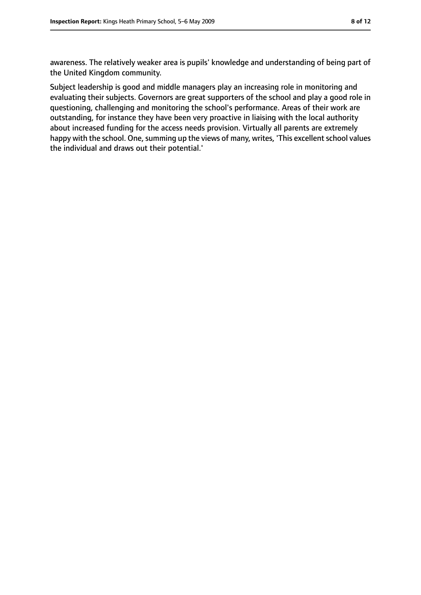awareness. The relatively weaker area is pupils' knowledge and understanding of being part of the United Kingdom community.

Subject leadership is good and middle managers play an increasing role in monitoring and evaluating their subjects. Governors are great supporters of the school and play a good role in questioning, challenging and monitoring the school's performance. Areas of their work are outstanding, for instance they have been very proactive in liaising with the local authority about increased funding for the access needs provision. Virtually all parents are extremely happy with the school. One, summing up the views of many, writes, 'This excellent school values the individual and draws out their potential.'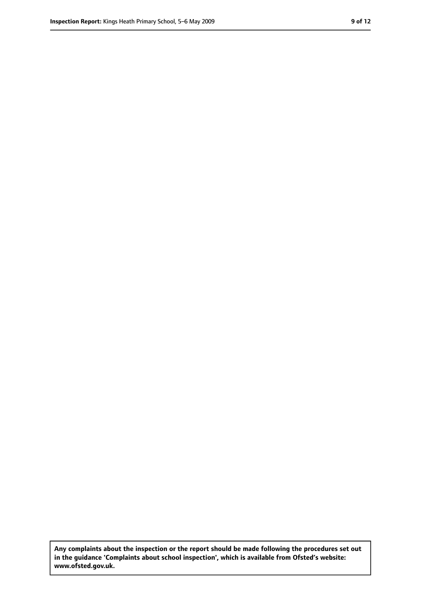**Any complaints about the inspection or the report should be made following the procedures set out in the guidance 'Complaints about school inspection', which is available from Ofsted's website: www.ofsted.gov.uk.**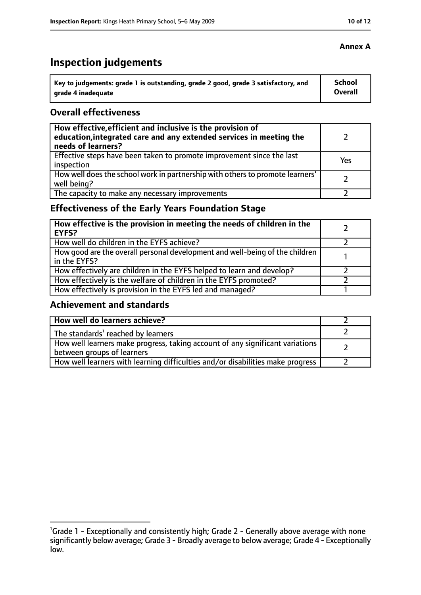# **Inspection judgements**

| \ Key to judgements: grade 1 is outstanding, grade 2 good, grade 3 satisfactory, and | <b>School</b>  |
|--------------------------------------------------------------------------------------|----------------|
| arade 4 inadequate                                                                   | <b>Overall</b> |

#### **Overall effectiveness**

| How effective, efficient and inclusive is the provision of<br>education, integrated care and any extended services in meeting the<br>needs of learners? |     |
|---------------------------------------------------------------------------------------------------------------------------------------------------------|-----|
| Effective steps have been taken to promote improvement since the last<br>inspection                                                                     | Yes |
| How well does the school work in partnership with others to promote learners'<br>well being?                                                            |     |
| The capacity to make any necessary improvements                                                                                                         |     |

# **Effectiveness of the Early Years Foundation Stage**

| How effective is the provision in meeting the needs of children in the<br>l EYFS?              |  |
|------------------------------------------------------------------------------------------------|--|
| How well do children in the EYFS achieve?                                                      |  |
| How good are the overall personal development and well-being of the children<br>I in the EYFS? |  |
| How effectively are children in the EYFS helped to learn and develop?                          |  |
| How effectively is the welfare of children in the EYFS promoted?                               |  |
| How effectively is provision in the EYFS led and managed?                                      |  |

#### **Achievement and standards**

| How well do learners achieve?                                                  |  |
|--------------------------------------------------------------------------------|--|
| $\vert$ The standards <sup>1</sup> reached by learners                         |  |
| How well learners make progress, taking account of any significant variations  |  |
| between groups of learners                                                     |  |
| How well learners with learning difficulties and/or disabilities make progress |  |

#### **Annex A**

<sup>&</sup>lt;sup>1</sup>Grade 1 - Exceptionally and consistently high; Grade 2 - Generally above average with none significantly below average; Grade 3 - Broadly average to below average; Grade 4 - Exceptionally low.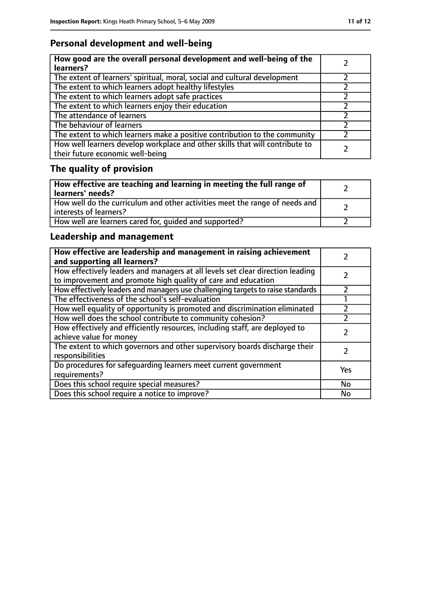# **Personal development and well-being**

| How good are the overall personal development and well-being of the<br>learners?                                 |  |
|------------------------------------------------------------------------------------------------------------------|--|
| The extent of learners' spiritual, moral, social and cultural development                                        |  |
| The extent to which learners adopt healthy lifestyles                                                            |  |
| The extent to which learners adopt safe practices                                                                |  |
| The extent to which learners enjoy their education                                                               |  |
| The attendance of learners                                                                                       |  |
| The behaviour of learners                                                                                        |  |
| The extent to which learners make a positive contribution to the community                                       |  |
| How well learners develop workplace and other skills that will contribute to<br>their future economic well-being |  |

# **The quality of provision**

| How effective are teaching and learning in meeting the full range of<br>learners' needs?              |  |
|-------------------------------------------------------------------------------------------------------|--|
| How well do the curriculum and other activities meet the range of needs and<br>interests of learners? |  |
| How well are learners cared for, quided and supported?                                                |  |

# **Leadership and management**

| How effective are leadership and management in raising achievement<br>and supporting all learners?                                              |     |
|-------------------------------------------------------------------------------------------------------------------------------------------------|-----|
| How effectively leaders and managers at all levels set clear direction leading<br>to improvement and promote high quality of care and education |     |
| How effectively leaders and managers use challenging targets to raise standards                                                                 |     |
| The effectiveness of the school's self-evaluation                                                                                               |     |
| How well equality of opportunity is promoted and discrimination eliminated                                                                      |     |
| How well does the school contribute to community cohesion?                                                                                      |     |
| How effectively and efficiently resources, including staff, are deployed to<br>achieve value for money                                          |     |
| The extent to which governors and other supervisory boards discharge their<br>responsibilities                                                  |     |
| Do procedures for safequarding learners meet current government<br>requirements?                                                                | Yes |
| Does this school require special measures?                                                                                                      | No  |
| Does this school require a notice to improve?                                                                                                   | No  |